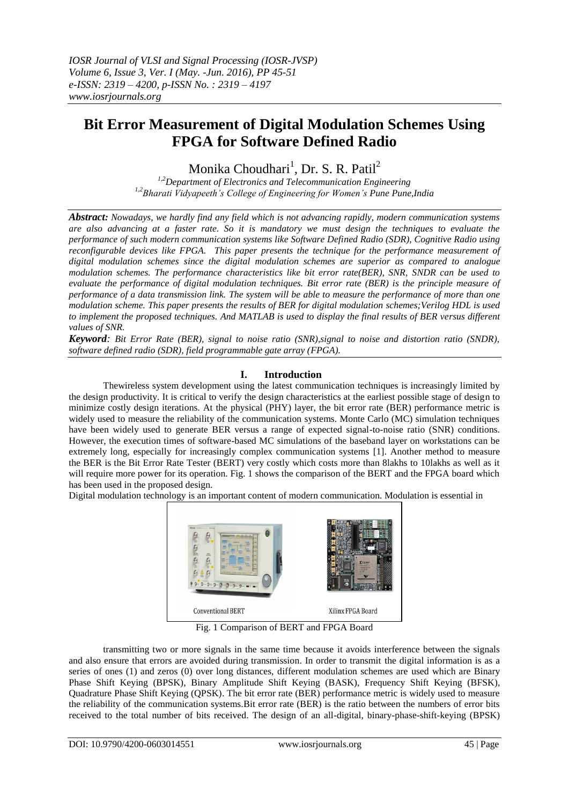# **Bit Error Measurement of Digital Modulation Schemes Using FPGA for Software Defined Radio**

Monika Choudhari<sup>1</sup>, Dr. S. R. Patil<sup>2</sup>

*1,2Department of Electronics and Telecommunication Engineering 1,2Bharati Vidyapeeth's College of Engineering for Women's Pune Pune,India*

*Abstract: Nowadays, we hardly find any field which is not advancing rapidly, modern communication systems are also advancing at a faster rate. So it is mandatory we must design the techniques to evaluate the performance of such modern communication systems like Software Defined Radio (SDR), Cognitive Radio using reconfigurable devices like FPGA. This paper presents the technique for the performance measurement of digital modulation schemes since the digital modulation schemes are superior as compared to analogue modulation schemes. The performance characteristics like bit error rate(BER), SNR, SNDR can be used to evaluate the performance of digital modulation techniques. Bit error rate (BER) is the principle measure of performance of a data transmission link. The system will be able to measure the performance of more than one modulation scheme. This paper presents the results of BER for digital modulation schemes;Verilog HDL is used to implement the proposed techniques. And MATLAB is used to display the final results of BER versus different values of SNR.*

*Keyword: Bit Error Rate (BER), signal to noise ratio (SNR),signal to noise and distortion ratio (SNDR), software defined radio (SDR), field programmable gate array (FPGA).*

# **I. Introduction**

Thewireless system development using the latest communication techniques is increasingly limited by the design productivity. It is critical to verify the design characteristics at the earliest possible stage of design to minimize costly design iterations. At the physical (PHY) layer, the bit error rate (BER) performance metric is widely used to measure the reliability of the communication systems. Monte Carlo (MC) simulation techniques have been widely used to generate BER versus a range of expected signal-to-noise ratio (SNR) conditions. However, the execution times of software-based MC simulations of the baseband layer on workstations can be extremely long, especially for increasingly complex communication systems [1]. Another method to measure the BER is the Bit Error Rate Tester (BERT) very costly which costs more than 8lakhs to 10lakhs as well as it will require more power for its operation. Fig. 1 shows the comparison of the BERT and the FPGA board which has been used in the proposed design.

Digital modulation technology is an important content of modern communication. Modulation is essential in



Fig. 1 Comparison of BERT and FPGA Board

transmitting two or more signals in the same time because it avoids interference between the signals and also ensure that errors are avoided during transmission. In order to transmit the digital information is as a series of ones (1) and zeros (0) over long distances, different modulation schemes are used which are Binary Phase Shift Keying (BPSK), Binary Amplitude Shift Keying (BASK), Frequency Shift Keying (BFSK), Quadrature Phase Shift Keying (QPSK). The bit error rate (BER) performance metric is widely used to measure the reliability of the communication systems.Bit error rate (BER) is the ratio between the numbers of error bits received to the total number of bits received. The design of an all-digital, binary-phase-shift-keying (BPSK)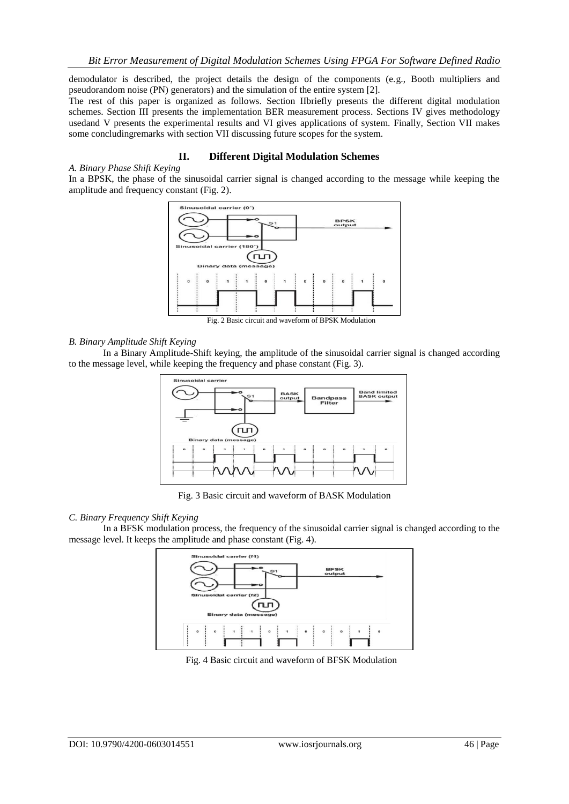demodulator is described, the project details the design of the components (e.g., Booth multipliers and pseudorandom noise (PN) generators) and the simulation of the entire system [2].

The rest of this paper is organized as follows. Section IIbriefly presents the different digital modulation schemes. Section III presents the implementation BER measurement process. Sections IV gives methodology usedand V presents the experimental results and VI gives applications of system. Finally, Section VII makes some concludingremarks with section VII discussing future scopes for the system.

## **II. Different Digital Modulation Schemes**

#### *A. Binary Phase Shift Keying*

In a BPSK, the phase of the sinusoidal carrier signal is changed according to the message while keeping the amplitude and frequency constant (Fig. 2).



Fig. 2 Basic circuit and waveform of BPSK Modulation

#### *B. Binary Amplitude Shift Keying*

In a Binary Amplitude-Shift keying, the amplitude of the sinusoidal carrier signal is changed according to the message level, while keeping the frequency and phase constant (Fig. 3).



Fig. 3 Basic circuit and waveform of BASK Modulation

### *C. Binary Frequency Shift Keying*

In a BFSK modulation process, the frequency of the sinusoidal carrier signal is changed according to the message level. It keeps the amplitude and phase constant (Fig. 4).



Fig. 4 Basic circuit and waveform of BFSK Modulation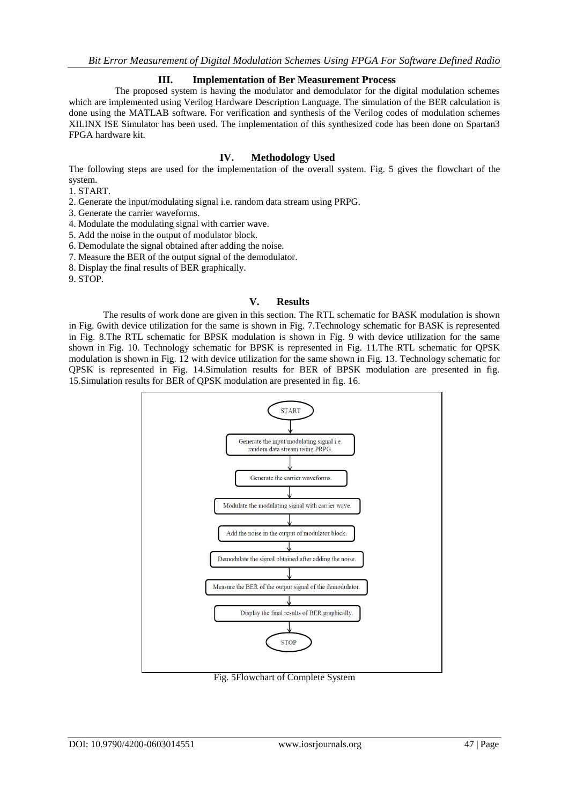## **III. Implementation of Ber Measurement Process**

 The proposed system is having the modulator and demodulator for the digital modulation schemes which are implemented using Verilog Hardware Description Language. The simulation of the BER calculation is done using the MATLAB software. For verification and synthesis of the Verilog codes of modulation schemes XILINX ISE Simulator has been used. The implementation of this synthesized code has been done on Spartan3 FPGA hardware kit.

## **IV. Methodology Used**

The following steps are used for the implementation of the overall system. Fig. 5 gives the flowchart of the system.

1. START.

2. Generate the input/modulating signal i.e. random data stream using PRPG.

3. Generate the carrier waveforms.

4. Modulate the modulating signal with carrier wave.

5. Add the noise in the output of modulator block.

6. Demodulate the signal obtained after adding the noise.

7. Measure the BER of the output signal of the demodulator.

8. Display the final results of BER graphically.

9. STOP.

## **V. Results**

The results of work done are given in this section. The RTL schematic for BASK modulation is shown in Fig. 6with device utilization for the same is shown in Fig. 7.Technology schematic for BASK is represented in Fig. 8.The RTL schematic for BPSK modulation is shown in Fig. 9 with device utilization for the same shown in Fig. 10. Technology schematic for BPSK is represented in Fig. 11.The RTL schematic for QPSK modulation is shown in Fig. 12 with device utilization for the same shown in Fig. 13. Technology schematic for QPSK is represented in Fig. 14.Simulation results for BER of BPSK modulation are presented in fig. 15.Simulation results for BER of QPSK modulation are presented in fig. 16.



Fig. 5Flowchart of Complete System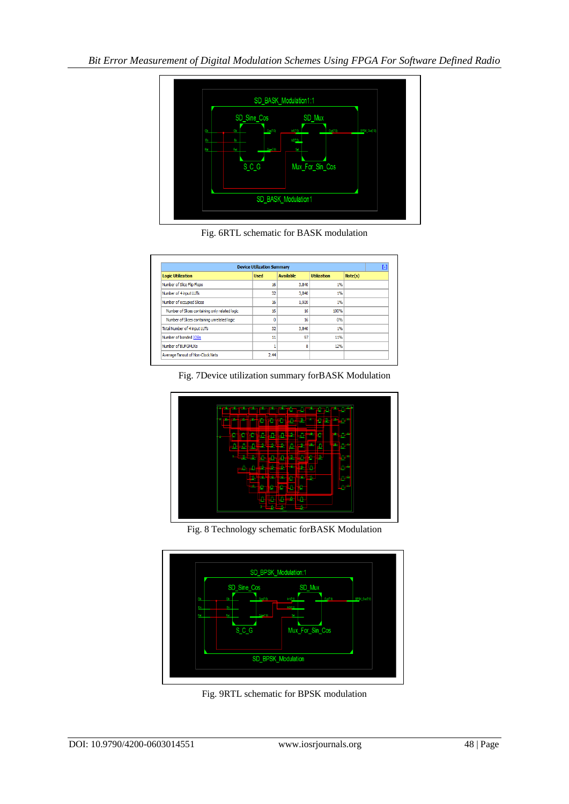

Fig. 6RTL schematic for BASK modulation

| <b>Device Utilization Summary</b><br>H         |             |                  |                    |         |  |  |
|------------------------------------------------|-------------|------------------|--------------------|---------|--|--|
| <b>Logic Utilization</b>                       | <b>Used</b> | <b>Available</b> | <b>Utilization</b> | Note(s) |  |  |
| Number of Slice Flip Flops                     | 16          | 3,840            | 1%                 |         |  |  |
| Number of 4 input LUTs                         | 32          | 3,840            | 1%                 |         |  |  |
| Number of occupied Slices                      | 16          | 1,920            | 1%                 |         |  |  |
| Number of Slices containing only related logic | 16          | 16               | 100%               |         |  |  |
| Number of Slices containing unrelated logic    | 0           | 16               | 0%                 |         |  |  |
| Total Number of 4 input LUTs                   | 32          | 3,840            | 1%                 |         |  |  |
| Number of bonded IOBs                          | 11          | 97               | 11%                |         |  |  |
| Number of BUFGMUXs                             |             | 8                | 12%                |         |  |  |
| Average Fanout of Non-Clock Nets               | 2.44        |                  |                    |         |  |  |





Fig. 8 Technology schematic forBASK Modulation



Fig. 9RTL schematic for BPSK modulation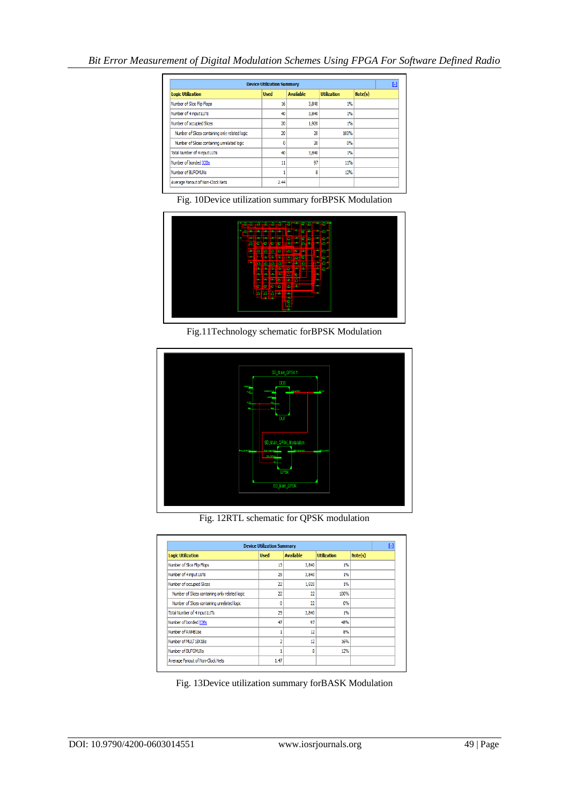| <b>Device Utilization Summary</b>              |             |                  |                    |         |  |
|------------------------------------------------|-------------|------------------|--------------------|---------|--|
| <b>Logic Utilization</b>                       | <b>Used</b> | <b>Available</b> | <b>Utilization</b> | Note(s) |  |
| Number of Slice Flip Flops                     | 16          | 3,840            | 1%                 |         |  |
| Number of 4 input LUTs                         | 40          | 3,840            | 1%                 |         |  |
| Number of occupied Slices                      | 20          | 1,920            | 1%                 |         |  |
| Number of Slices containing only related logic | 20          | 20               | 100%               |         |  |
| Number of Slices containing unrelated logic    | 0           | 20               | 0%                 |         |  |
| Total Number of 4 input LUTs                   | 40          | 3,840            | 1%                 |         |  |
| Number of bonded IOBs                          | 11          | 97               | 11%                |         |  |
| Number of BUFGMUXs                             |             | 8                | 12%                |         |  |
| Average Fanout of Non-Clock Nets               | 2.44        |                  |                    |         |  |

Fig. 10Device utilization summary forBPSK Modulation



Fig.11Technology schematic forBPSK Modulation



Fig. 12RTL schematic for QPSK modulation

| <b>Device Utilization Summary</b>              |              |                  |                    |         |  |  |
|------------------------------------------------|--------------|------------------|--------------------|---------|--|--|
| <b>Logic Utilization</b>                       | <b>Used</b>  | <b>Available</b> | <b>Utilization</b> | Note(s) |  |  |
| Number of Slice Flip Flops                     | 13           | 3,840            | 1%                 |         |  |  |
| Number of 4 input LUTs                         | 25           | 3,840            | 1%                 |         |  |  |
| Number of occupied Slices                      | 22           | 1.920            | 1%                 |         |  |  |
| Number of Slices containing only related logic | 22           | 22               | 100%               |         |  |  |
| Number of Slices containing unrelated logic    | $\mathbf{0}$ | 22               | 0%                 |         |  |  |
| Total Number of 4 input LUTs                   | 25           | 3,840            | 1%                 |         |  |  |
| Number of bonded IOBs                          | 47           | 97               | 48%                |         |  |  |
| Number of RAMB16s                              |              | 12               | 8%                 |         |  |  |
| Number of MULT18X18s                           | 2            | 12               | 16%                |         |  |  |
| Number of BUFGMUXs                             |              | 8                | 12%                |         |  |  |
| Average Fanout of Non-Clock Nets               | 1.47         |                  |                    |         |  |  |

Fig. 13Device utilization summary forBASK Modulation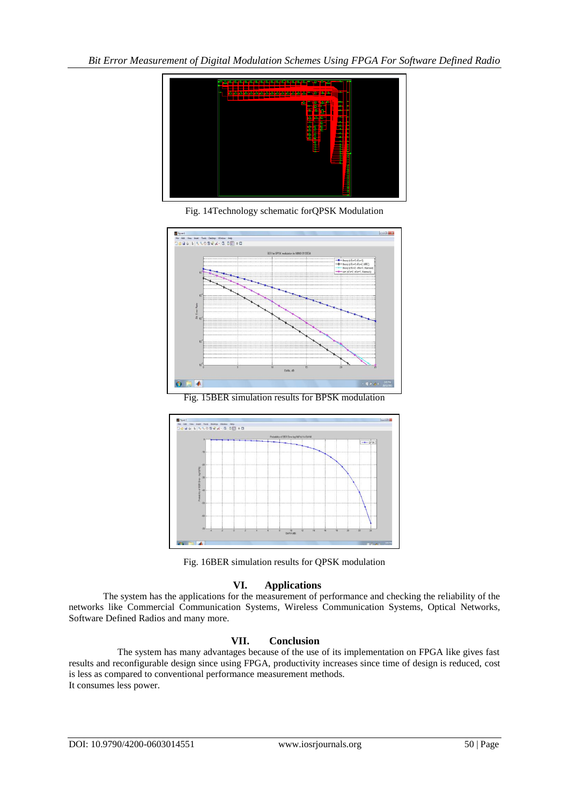

Fig. 14Technology schematic forQPSK Modulation



Fig. 15BER simulation results for BPSK modulation



Fig. 16BER simulation results for QPSK modulation

# **VI. Applications**

The system has the applications for the measurement of performance and checking the reliability of the networks like Commercial Communication Systems, Wireless Communication Systems, Optical Networks, Software Defined Radios and many more.

# **VII. Conclusion**

 The system has many advantages because of the use of its implementation on FPGA like gives fast results and reconfigurable design since using FPGA, productivity increases since time of design is reduced, cost is less as compared to conventional performance measurement methods. It consumes less power.